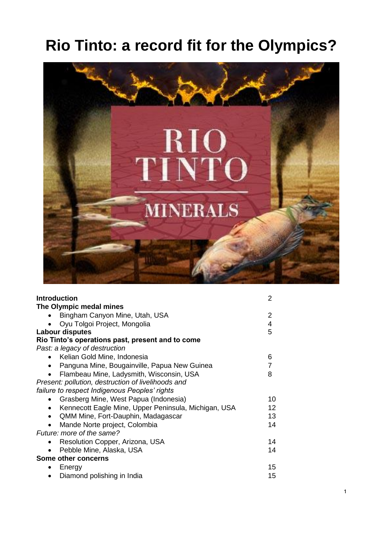# **Rio Tinto: a record fit for the Olympics?**



| <b>Introduction</b>                                               | 2  |
|-------------------------------------------------------------------|----|
| The Olympic medal mines                                           |    |
| Bingham Canyon Mine, Utah, USA                                    | 2  |
| Oyu Tolgoi Project, Mongolia                                      | 4  |
| <b>Labour disputes</b>                                            | 5  |
| Rio Tinto's operations past, present and to come                  |    |
| Past: a legacy of destruction                                     |    |
| Kelian Gold Mine, Indonesia<br>$\bullet$                          | 6  |
| Panguna Mine, Bougainville, Papua New Guinea<br>٠                 | 7  |
| Flambeau Mine, Ladysmith, Wisconsin, USA                          | 8  |
| Present: pollution, destruction of livelihoods and                |    |
| failure to respect Indigenous Peoples' rights                     |    |
| Grasberg Mine, West Papua (Indonesia)<br>$\bullet$                | 10 |
| Kennecott Eagle Mine, Upper Peninsula, Michigan, USA<br>$\bullet$ | 12 |
| QMM Mine, Fort-Dauphin, Madagascar<br>$\bullet$                   | 13 |
| Mande Norte project, Colombia                                     | 14 |
| Future: more of the same?                                         |    |
| Resolution Copper, Arizona, USA                                   | 14 |
| Pebble Mine, Alaska, USA                                          | 14 |
| Some other concerns                                               |    |
| Energy<br>٠                                                       | 15 |
| Diamond polishing in India                                        | 15 |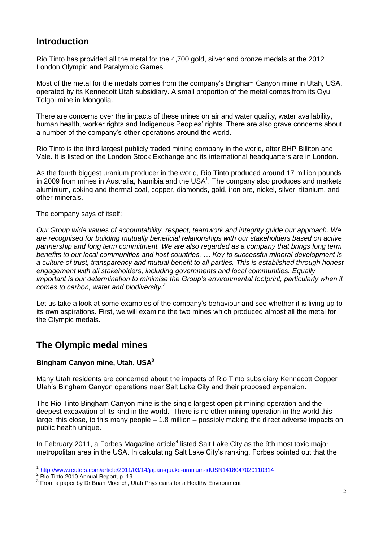# **Introduction**

Rio Tinto has provided all the metal for the 4,700 gold, silver and bronze medals at the 2012 London Olympic and Paralympic Games.

Most of the metal for the medals comes from the company's Bingham Canyon mine in Utah, USA, operated by its Kennecott Utah subsidiary. A small proportion of the metal comes from its Oyu Tolgoi mine in Mongolia.

There are concerns over the impacts of these mines on air and water quality, water availability, human health, worker rights and Indigenous Peoples' rights. There are also grave concerns about a number of the company's other operations around the world.

Rio Tinto is the third largest publicly traded mining company in the world, after BHP Billiton and Vale. It is listed on the London Stock Exchange and its international headquarters are in London.

As the fourth biggest uranium producer in the world, Rio Tinto produced around 17 million pounds in 2009 from mines in Australia, Namibia and the USA $<sup>1</sup>$ . The company also produces and markets</sup> aluminium, coking and thermal coal, copper, diamonds, gold, iron ore, nickel, silver, titanium, and other minerals.

The company says of itself:

*Our Group wide values of accountability, respect, teamwork and integrity guide our approach. We are recognised for building mutually beneficial relationships with our stakeholders based on active partnership and long term commitment. We are also regarded as a company that brings long term benefits to our local communities and host countries. … Key to successful mineral development is a culture of trust, transparency and mutual benefit to all parties. This is established through honest engagement with all stakeholders, including governments and local communities. Equally important is our determination to minimise the Group's environmental footprint, particularly when it comes to carbon, water and biodiversity.<sup>2</sup>*

Let us take a look at some examples of the company's behaviour and see whether it is living up to its own aspirations. First, we will examine the two mines which produced almost all the metal for the Olympic medals.

# **The Olympic medal mines**

## **Bingham Canyon mine, Utah, USA<sup>3</sup>**

Many Utah residents are concerned about the impacts of Rio Tinto subsidiary Kennecott Copper Utah's Bingham Canyon operations near Salt Lake City and their proposed expansion.

The Rio Tinto Bingham Canyon mine is the single largest open pit mining operation and the deepest excavation of its kind in the world. There is no other mining operation in the world this large, this close, to this many people – 1.8 million – possibly making the direct adverse impacts on public health unique.

In February 2011, a Forbes Magazine article<sup>4</sup> listed Salt Lake City as the 9th most toxic major metropolitan area in the USA. In calculating Salt Lake City's ranking, Forbes pointed out that the

 $\overline{\phantom{a}}$ 1 <http://www.reuters.com/article/2011/03/14/japan-quake-uranium-idUSN1418047020110314>

<sup>&</sup>lt;sup>2</sup> Rio Tinto 2010 Annual Report, p. 19.

 $3$  From a paper by Dr Brian Moench, Utah Physicians for a Healthy Environment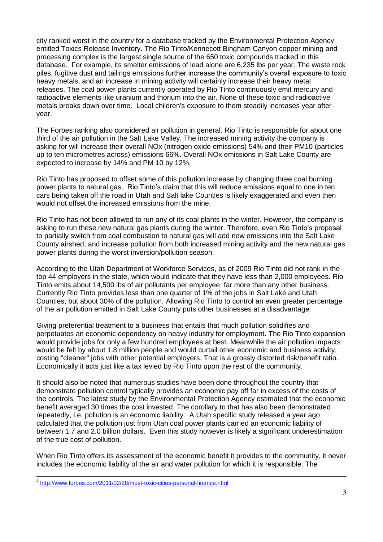city ranked worst in the country for a database tracked by the Environmental Protection Agency entitled Toxics Release Inventory. The Rio Tinto/Kennecott Bingham Canyon copper mining and processing complex is the largest single source of the 650 toxic compounds tracked in this database. For example, its smelter emissions of lead alone are 6,235 lbs per year. The waste rock piles, fugitive dust and tailings emissions further increase the community's overall exposure to toxic heavy metals, and an increase in mining activity will certainly increase their heavy metal releases. The coal power plants currently operated by Rio Tinto continuously emit mercury and radioactive elements like uranium and thorium into the air. None of these toxic and radioactive metals breaks down over time. Local children's exposure to them steadily increases year after year.

The Forbes ranking also considered air pollution in general. Rio Tinto is responsible for about one third of the air pollution in the Salt Lake Valley. The increased mining activity the company is asking for will increase their overall NOx (nitrogen oxide emissions) 54% and their PM10 (particles up to ten micrometres across) emissions 66%. Overall NOx emissions in Salt Lake County are expected to increase by 14% and PM 10 by 12%.

Rio Tinto has proposed to offset some of this pollution increase by changing three coal burning power plants to natural gas. Rio Tinto's claim that this will reduce emissions equal to one in ten cars being taken off the road in Utah and Salt lake Counties is likely exaggerated and even then would not offset the increased emissions from the mine.

Rio Tinto has not been allowed to run any of its coal plants in the winter. However, the company is asking to run these new natural gas plants during the winter. Therefore, even Rio Tinto's proposal to partially switch from coal combustion to natural gas will add new emissions into the Salt Lake County airshed, and increase pollution from both increased mining activity and the new natural gas power plants during the worst inversion/pollution season.

According to the Utah Department of Workforce Services, as of 2009 Rio Tinto did not rank in the top 44 employers in the state, which would indicate that they have less than 2,000 employees. Rio Tinto emits about 14,500 lbs of air pollutants per employee, far more than any other business. Currently Rio Tinto provides less than one quarter of 1% of the jobs in Salt Lake and Utah Counties, but about 30% of the pollution. Allowing Rio Tinto to control an even greater percentage of the air pollution emitted in Salt Lake County puts other businesses at a disadvantage.

Giving preferential treatment to a business that entails that much pollution solidifies and perpetuates an economic dependency on heavy industry for employment. The Rio Tinto expansion would provide jobs for only a few hundred employees at best. Meanwhile the air pollution impacts would be felt by about 1.8 million people and would curtail other economic and business activity, costing "cleaner" jobs with other potential employers. That is a grossly distorted risk/benefit ratio. Economically it acts just like a tax levied by Rio Tinto upon the rest of the community.

It should also be noted that numerous studies have been done throughout the country that demonstrate pollution control typically provides an economic pay off far in excess of the costs of the controls. The latest study by the Environmental Protection Agency estimated that the economic benefit averaged 30 times the cost invested. The corollary to that has also been demonstrated repeatedly, i.e. pollution is an economic liability. A Utah specific study released a year ago calculated that the pollution just from Utah coal power plants carried an economic liability of between 1.7 and 2.0 billion dollars. Even this study however is likely a significant underestimation of the true cost of pollution.

When Rio Tinto offers its assessment of the economic benefit it provides to the community, it never includes the economic liability of the air and water pollution for which it is responsible. The

\_<br><sup>4</sup> <u><http://www.forbes.com/2011/02/28/most-toxic-cities-personal-finance.html></u>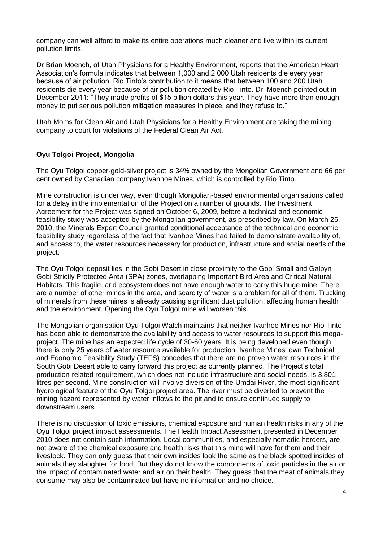company can well afford to make its entire operations much cleaner and live within its current pollution limits.

Dr Brian Moench, of Utah Physicians for a Healthy Environment, reports that the American Heart Association's formula indicates that between 1,000 and 2,000 Utah residents die every year because of air pollution. Rio Tinto's contribution to it means that between 100 and 200 Utah residents die every year because of air pollution created by Rio Tinto. Dr. Moench pointed out in December 2011: "They made profits of \$15 billion dollars this year. They have more than enough money to put serious pollution mitigation measures in place, and they refuse to."

Utah Moms for Clean Air and Utah Physicians for a Healthy Environment are taking the mining company to court for violations of the Federal Clean Air Act.

#### **Oyu Tolgoi Project, Mongolia**

The Oyu Tolgoi copper-gold-silver project is 34% owned by the Mongolian Government and 66 per cent owned by Canadian company Ivanhoe Mines, which is controlled by Rio Tinto.

Mine construction is under way, even though Mongolian-based environmental organisations called for a delay in the implementation of the Project on a number of grounds. The Investment Agreement for the Project was signed on October 6, 2009, before a technical and economic feasibility study was accepted by the Mongolian government, as prescribed by law. On March 26, 2010, the Minerals Expert Council granted conditional acceptance of the technical and economic feasibility study regardless of the fact that Ivanhoe Mines had failed to demonstrate availability of, and access to, the water resources necessary for production, infrastructure and social needs of the project.

The Oyu Tolgoi deposit lies in the Gobi Desert in close proximity to the Gobi Small and Galbyn Gobi Strictly Protected Area (SPA) zones, overlapping Important Bird Area and Critical Natural Habitats. This fragile, arid ecosystem does not have enough water to carry this huge mine. There are a number of other mines in the area, and scarcity of water is a problem for all of them. Trucking of minerals from these mines is already causing significant dust pollution, affecting human health and the environment. Opening the Oyu Tolgoi mine will worsen this.

The Mongolian organisation Oyu Tolgoi Watch maintains that neither Ivanhoe Mines nor Rio Tinto has been able to demonstrate the availability and access to water resources to support this megaproject. The mine has an expected life cycle of 30-60 years. It is being developed even though there is only 25 years of water resource available for production. Ivanhoe Mines' own Technical and Economic Feasibility Study (TEFS) concedes that there are no proven water resources in the South Gobi Desert able to carry forward this project as currently planned. The Project's total production-related requirement, which does not include infrastructure and social needs, is 3,801 litres per second. Mine construction will involve diversion of the Umdai River, the most significant hydrological feature of the Oyu Tolgoi project area. The river must be diverted to prevent the mining hazard represented by water inflows to the pit and to ensure continued supply to downstream users.

There is no discussion of toxic emissions, chemical exposure and human health risks in any of the Oyu Tolgoi project impact assessments. The Health Impact Assessment presented in December 2010 does not contain such information. Local communities, and especially nomadic herders, are not aware of the chemical exposure and health risks that this mine will have for them and their livestock. They can only guess that their own insides look the same as the black spotted insides of animals they slaughter for food. But they do not know the components of toxic particles in the air or the impact of contaminated water and air on their health. They guess that the meat of animals they consume may also be contaminated but have no information and no choice.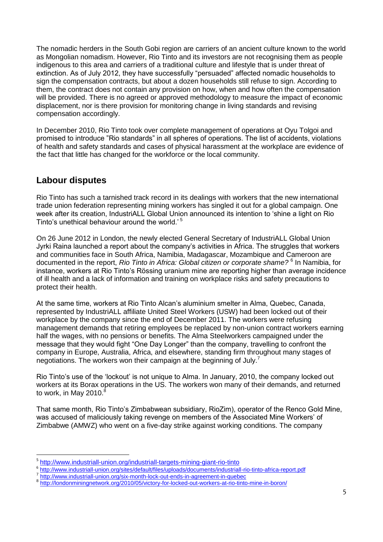The nomadic herders in the South Gobi region are carriers of an ancient culture known to the world as Mongolian nomadism. However, Rio Tinto and its investors are not recognising them as people indigenous to this area and carriers of a traditional culture and lifestyle that is under threat of extinction. As of July 2012, they have successfully "persuaded" affected nomadic households to sign the compensation contracts, but about a dozen households still refuse to sign. According to them, the contract does not contain any provision on how, when and how often the compensation will be provided. There is no agreed or approved methodology to measure the impact of economic displacement, nor is there provision for monitoring change in living standards and revising compensation accordingly.

In December 2010, Rio Tinto took over complete management of operations at Oyu Tolgoi and promised to introduce "Rio standards" in all spheres of operations. The list of accidents, violations of health and safety standards and cases of physical harassment at the workplace are evidence of the fact that little has changed for the workforce or the local community.

## **Labour disputes**

-

Rio Tinto has such a tarnished track record in its dealings with workers that the new international trade union federation representing mining workers has singled it out for a global campaign. One week after its creation, IndustriALL Global Union announced its intention to 'shine a light on Rio Tinto's unethical behaviour around the world.' <sup>5</sup>

On 26 June 2012 in London, the newly elected General Secretary of IndustriALL Global Union Jyrki Raina launched a report about the company's activities in Africa. The struggles that workers and communities face in South Africa, Namibia, Madagascar, Mozambique and Cameroon are documented in the report, *Rio Tinto in Africa: Global citizen or corporate shame?* <sup>6</sup> In Namibia, for instance, workers at Rio Tinto's Rössing uranium mine are reporting higher than average incidence of ill health and a lack of information and training on workplace risks and safety precautions to protect their health.

At the same time, workers at Rio Tinto Alcan's aluminium smelter in Alma, Quebec, Canada, represented by IndustriALL affiliate United Steel Workers (USW) had been locked out of their workplace by the company since the end of December 2011. The workers were refusing management demands that retiring employees be replaced by non-union contract workers earning half the wages, with no pensions or benefits. The Alma Steelworkers campaigned under the message that they would fight "One Day Longer" than the company, travelling to confront the company in Europe, Australia, Africa, and elsewhere, standing firm throughout many stages of negotiations. The workers won their campaign at the beginning of July.<sup>7</sup>

Rio Tinto's use of the 'lockout' is not unique to Alma. In January, 2010, the company locked out workers at its Borax operations in the US. The workers won many of their demands, and returned to work, in May 2010. $8$ 

That same month, Rio Tinto's Zimbabwean subsidiary, RioZim), operator of the Renco Gold Mine, was accused of maliciously taking revenge on members of the Associated Mine Workers' of Zimbabwe (AMWZ) who went on a five-day strike against working conditions. The company

7 <http://www.industriall-union.org/six-month-lock-out-ends-in-agreement-in-quebec>

<sup>5</sup> <http://www.industriall-union.org/industriall-targets-mining-giant-rio-tinto>

<sup>6</sup> <http://www.industriall-union.org/sites/default/files/uploads/documents/industriall-rio-tinto-africa-report.pdf>

<sup>8</sup> <http://londonminingnetwork.org/2010/05/victory-for-locked-out-workers-at-rio-tinto-mine-in-boron/>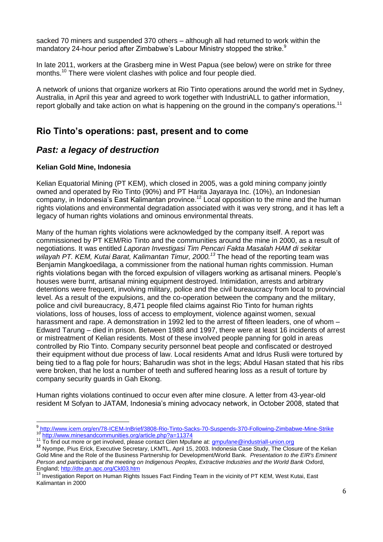sacked 70 miners and suspended 370 others – although all had returned to work within the mandatory 24-hour period after Zimbabwe's Labour Ministry stopped the strike.<sup>9</sup>

In late 2011, workers at the Grasberg mine in West Papua (see below) were on strike for three months.<sup>10</sup> There were violent clashes with police and four people died.

A network of unions that organize workers at Rio Tinto operations around the world met in Sydney, Australia, in April this year and agreed to work together with IndustriALL to gather information, report globally and take action on what is happening on the ground in the company's operations.<sup>11</sup>

## **Rio Tinto's operations: past, present and to come**

## *Past: a legacy of destruction*

#### **Kelian Gold Mine, Indonesia**

Kelian Equatorial Mining (PT KEM), which closed in 2005, was a gold mining company jointly owned and operated by Rio Tinto (90%) and PT Harita Jayaraya Inc. (10%), an Indonesian company, in Indonesia's East Kalimantan province.<sup>12</sup> Local opposition to the mine and the human rights violations and environmental degradation associated with it was very strong, and it has left a legacy of human rights violations and ominous environmental threats.

Many of the human rights violations were acknowledged by the company itself. A report was commissioned by PT KEM/Rio Tinto and the communities around the mine in 2000, as a result of negotiations. It was entitled *Laporan Investigasi Tim Pencari Fakta Masalah HAM di sekitar wilayah PT. KEM, Kutai Barat, Kalimantan Timur, 2000.<sup>13</sup>* The head of the reporting team was Benjamin Mangkoedilaga, a commissioner from the national human rights commission. Human rights violations began with the forced expulsion of villagers working as artisanal miners. People's houses were burnt, artisanal mining equipment destroyed. Intimidation, arrests and arbitrary detentions were frequent, involving military, police and the civil bureaucracy from local to provincial level. As a result of the expulsions, and the co-operation between the company and the military, police and civil bureaucracy, 8,471 people filed claims against Rio Tinto for human rights violations, loss of houses, loss of access to employment, violence against women, sexual harassment and rape. A demonstration in 1992 led to the arrest of fifteen leaders, one of whom – Edward Tarung – died in prison. Between 1988 and 1997, there were at least 16 incidents of arrest or mistreatment of Kelian residents. Most of these involved people panning for gold in areas controlled by Rio Tinto. Company security personnel beat people and confiscated or destroyed their equipment without due process of law. Local residents Amat and Idrus Rusli were tortured by being tied to a flag pole for hours; Baharudin was shot in the legs; Abdul Hasan stated that his ribs were broken, that he lost a number of teeth and suffered hearing loss as a result of torture by company security guards in Gah Ekong.

Human rights violations continued to occur even after mine closure. A letter from 43-year-old resident M Sofyan to JATAM, Indonesia's mining advocacy network, in October 2008, stated that

\_<br><sup>9</sup> http://www.icem.org/en/78-ICEM-InBrief/3808-Rio-Tinto-Sacks-70-Suspends-370-Following-Zimbabwe-Mine-Strike 10 <http://www.minesandcommunities.org/article.php?a=11374>

<sup>&</sup>lt;sup>11</sup> To find out more or get involved, please contact Glen Mpufane at: <u>gmpufane@industriall-union.org</u>

**<sup>12</sup>** Nyompe, Pius Erick, Executive Secretary, LKMTL, April 15, 2003. Indonesia Case Study, The Closure of the Kelian Gold Mine and the Role of the Business Partnership for Development/World Bank.*Presentation to the EIR's Eminent Person and participants at the meeting on Indigenous Peoples, Extractive Industries and the World Bank* Oxford, England[; http://dte.gn.apc.org/Ckl03.htm](http://dte.gn.apc.org/Ckl03.htm) 

<sup>&</sup>lt;sup>13</sup> Investigation Report on Human Rights Issues Fact Finding Team in the vicinity of PT KEM, West Kutai, East Kalimantan in 2000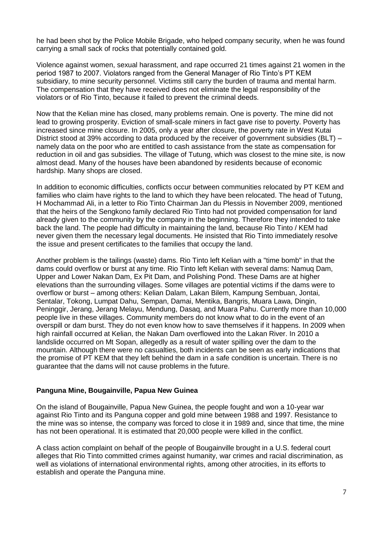he had been shot by the Police Mobile Brigade, who helped company security, when he was found carrying a small sack of rocks that potentially contained gold.

Violence against women, sexual harassment, and rape occurred 21 times against 21 women in the period 1987 to 2007. Violators ranged from the General Manager of Rio Tinto's PT KEM subsidiary, to mine security personnel. Victims still carry the burden of trauma and mental harm. The compensation that they have received does not eliminate the legal responsibility of the violators or of Rio Tinto, because it failed to prevent the criminal deeds.

Now that the Kelian mine has closed, many problems remain. One is poverty. The mine did not lead to growing prosperity. Eviction of small-scale miners in fact gave rise to poverty. Poverty has increased since mine closure. In 2005, only a year after closure, the poverty rate in West Kutai District stood at 39% according to data produced by the receiver of government subsidies (BLT) – namely data on the poor who are entitled to cash assistance from the state as compensation for reduction in oil and gas subsidies. The village of Tutung, which was closest to the mine site, is now almost dead. Many of the houses have been abandoned by residents because of economic hardship. Many shops are closed.

In addition to economic difficulties, conflicts occur between communities relocated by PT KEM and families who claim have rights to the land to which they have been relocated. The head of Tutung, H Mochammad Ali, in a letter to Rio Tinto Chairman Jan du Plessis in November 2009, mentioned that the heirs of the Sengkono family declared Rio Tinto had not provided compensation for land already given to the community by the company in the beginning. Therefore they intended to take back the land. The people had difficulty in maintaining the land, because Rio Tinto / KEM had never given them the necessary legal documents. He insisted that Rio Tinto immediately resolve the issue and present certificates to the families that occupy the land.

Another problem is the tailings (waste) dams. Rio Tinto left Kelian with a "time bomb" in that the dams could overflow or burst at any time. Rio Tinto left Kelian with several dams: Namuq Dam, Upper and Lower Nakan Dam, Ex Pit Dam, and Polishing Pond. These Dams are at higher elevations than the surrounding villages. Some villages are potential victims if the dams were to overflow or burst – among others: Kelian Dalam, Lakan Bilem, Kampung Sembuan, Jontai, Sentalar, Tokong, Lumpat Dahu, Sempan, Damai, Mentika, Bangris, Muara Lawa, Dingin, Peninggir, Jerang, Jerang Melayu, Mendung, Dasaq, and Muara Pahu. Currently more than 10,000 people live in these villages. Community members do not know what to do in the event of an overspill or dam burst. They do not even know how to save themselves if it happens. In 2009 when high rainfall occurred at Kelian, the Nakan Dam overflowed into the Lakan River. In 2010 a landslide occurred on Mt Sopan, allegedly as a result of water spilling over the dam to the mountain. Although there were no casualties, both incidents can be seen as early indications that the promise of PT KEM that they left behind the dam in a safe condition is uncertain. There is no guarantee that the dams will not cause problems in the future.

#### **Panguna Mine, Bougainville, Papua New Guinea**

On the island of Bougainville, Papua New Guinea, the people fought and won a 10-year war against Rio Tinto and its Panguna copper and gold mine between 1988 and 1997. Resistance to the mine was so intense, the company was forced to close it in 1989 and, since that time, the mine has not been operational. It is estimated that 20,000 people were killed in the conflict.

A class action complaint on behalf of the people of Bougainville brought in a U.S. federal court alleges that Rio Tinto committed crimes against humanity, war crimes and racial discrimination, as well as violations of international environmental rights, among other atrocities, in its efforts to establish and operate the Panguna mine.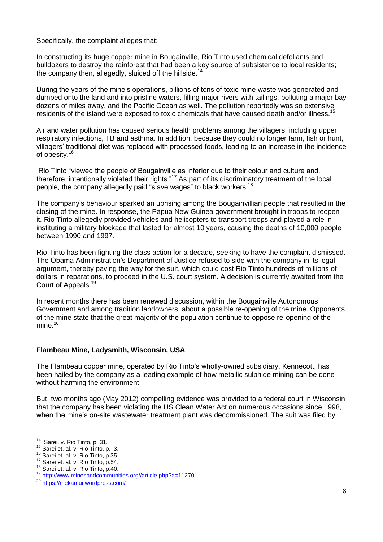Specifically, the complaint alleges that:

In constructing its huge copper mine in Bougainville, Rio Tinto used chemical defoliants and bulldozers to destroy the rainforest that had been a key source of subsistence to local residents; the company then, allegedly, sluiced off the hillside.<sup>14</sup>

During the years of the mine's operations, billions of tons of toxic mine waste was generated and dumped onto the land and into pristine waters, filling major rivers with tailings, polluting a major bay dozens of miles away, and the Pacific Ocean as well. The pollution reportedly was so extensive residents of the island were exposed to toxic chemicals that have caused death and/or illness.<sup>15</sup>

Air and water pollution has caused serious health problems among the villagers, including upper respiratory infections, TB and asthma. In addition, because they could no longer farm, fish or hunt, villagers' traditional diet was replaced with processed foods, leading to an increase in the incidence of obesity.<sup>16</sup>

Rio Tinto "viewed the people of Bougainville as inferior due to their colour and culture and, therefore, intentionally violated their rights."<sup>17</sup> As part of its discriminatory treatment of the local people, the company allegedly paid "slave wages" to black workers.<sup>18</sup>

The company's behaviour sparked an uprising among the Bougainvillian people that resulted in the closing of the mine. In response, the Papua New Guinea government brought in troops to reopen it. Rio Tinto allegedly provided vehicles and helicopters to transport troops and played a role in instituting a military blockade that lasted for almost 10 years, causing the deaths of 10,000 people between 1990 and 1997.

Rio Tinto has been fighting the class action for a decade, seeking to have the complaint dismissed. The Obama Administration's Department of Justice refused to side with the company in its legal argument, thereby paving the way for the suit, which could cost Rio Tinto hundreds of millions of dollars in reparations, to proceed in the U.S. court system. A decision is currently awaited from the Court of Appeals.<sup>19</sup>

In recent months there has been renewed discussion, within the Bougainville Autonomous Government and among tradition landowners, about a possible re-opening of the mine. Opponents of the mine state that the great majority of the population continue to oppose re-opening of the mine. $20$ 

#### **Flambeau Mine, Ladysmith, Wisconsin, USA**

The Flambeau copper mine, operated by Rio Tinto's wholly-owned subsidiary, Kennecott, has been hailed by the company as a leading example of how metallic sulphide mining can be done without harming the environment.

But, two months ago (May 2012) compelling evidence was provided to a federal court in Wisconsin that the company has been violating the US Clean Water Act on numerous occasions since 1998, when the mine's on-site wastewater treatment plant was decommissioned. The suit was filed by

 $\frac{1}{14}$ Sarei. v. Rio Tinto, p. 31.

 $^{15}$  Sarei et. al. v. Rio Tinto, p. 3.

<sup>&</sup>lt;sup>16</sup> Sarei et. al. v. Rio Tinto, p.35.

<sup>&</sup>lt;sup>17</sup> Sarei et. al. v. Rio Tinto, p.54.

<sup>&</sup>lt;sup>18</sup> Sarei et. al. v. Rio Tinto, p.40.

<sup>19</sup> [http://www.minesandcommunities.org//article.php?a=11270](http://www.minesandcommunities.org/article.php?a=11270)

<sup>20</sup> <https://mekamui.wordpress.com/>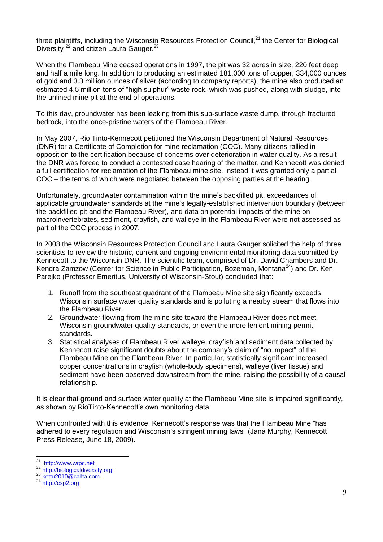three plaintiffs, including the Wisconsin Resources Protection Council, $^{21}$  the Center for Biological Diversity <sup>22</sup> and citizen Laura Gauger.<sup>23</sup>

When the Flambeau Mine ceased operations in 1997, the pit was 32 acres in size, 220 feet deep and half a mile long. In addition to producing an estimated 181,000 tons of copper, 334,000 ounces of gold and 3.3 million ounces of silver (according to company reports), the mine also produced an estimated 4.5 million tons of "high sulphur" waste rock, which was pushed, along with sludge, into the unlined mine pit at the end of operations.

To this day, groundwater has been leaking from this sub-surface waste dump, through fractured bedrock, into the once-pristine waters of the Flambeau River.

In May 2007, Rio Tinto-Kennecott petitioned the Wisconsin Department of Natural Resources (DNR) for a Certificate of Completion for mine reclamation (COC). Many citizens rallied in opposition to the certification because of concerns over deterioration in water quality. As a result the DNR was forced to conduct a contested case hearing of the matter, and Kennecott was denied a full certification for reclamation of the Flambeau mine site. Instead it was granted only a partial COC – the terms of which were negotiated between the opposing parties at the hearing.

Unfortunately, groundwater contamination within the mine's backfilled pit, exceedances of applicable groundwater standards at the mine's legally-established intervention boundary (between the backfilled pit and the Flambeau River), and data on potential impacts of the mine on macroinvertebrates, sediment, crayfish, and walleye in the Flambeau River were not assessed as part of the COC process in 2007.

In 2008 the Wisconsin Resources Protection Council and Laura Gauger solicited the help of three scientists to review the historic, current and ongoing environmental monitoring data submitted by Kennecott to the Wisconsin DNR. The scientific team, comprised of Dr. David Chambers and Dr. Kendra Zamzow (Center for Science in Public Participation, Bozeman, Montana<sup>24</sup>) and Dr. Ken Parejko (Professor Emeritus, University of Wisconsin-Stout) concluded that:

- 1. Runoff from the southeast quadrant of the Flambeau Mine site significantly exceeds Wisconsin surface water quality standards and is polluting a nearby stream that flows into the Flambeau River.
- 2. Groundwater flowing from the mine site toward the Flambeau River does not meet Wisconsin groundwater quality standards, or even the more lenient mining permit standards.
- 3. Statistical analyses of Flambeau River walleye, crayfish and sediment data collected by Kennecott raise significant doubts about the company's claim of "no impact" of the Flambeau Mine on the Flambeau River. In particular, statistically significant increased copper concentrations in crayfish (whole-body specimens), walleye (liver tissue) and sediment have been observed downstream from the mine, raising the possibility of a causal relationship.

It is clear that ground and surface water quality at the Flambeau Mine site is impaired significantly, as shown by RioTinto-Kennecott's own monitoring data.

When confronted with this evidence, Kennecott's response was that the Flambeau Mine "has adhered to every regulation and Wisconsin's stringent mining laws" (Jana Murphy, Kennecott Press Release, June 18, 2009).

 $\frac{1}{21}$ [http://www.wrpc.net](http://www.wrpc.net/)

<sup>&</sup>lt;sup>22</sup> [http://biologicaldiversity.org](http://biologicaldiversity.org/)

<sup>&</sup>lt;sup>23</sup> [kettu2010@callta.com](mailto:kettu2010@callta.com)

<sup>24</sup> [http://csp2.org](http://csp2.org/)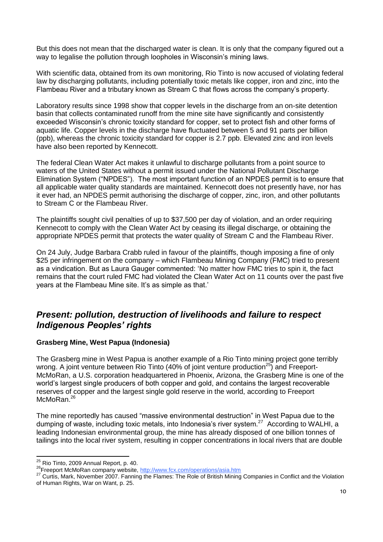But this does not mean that the discharged water is clean. It is only that the company figured out a way to legalise the pollution through loopholes in Wisconsin's mining laws.

With scientific data, obtained from its own monitoring, Rio Tinto is now accused of violating federal law by discharging pollutants, including potentially toxic metals like copper, iron and zinc, into the Flambeau River and a tributary known as Stream C that flows across the company's property.

Laboratory results since 1998 show that copper levels in the discharge from an on-site detention basin that collects contaminated runoff from the mine site have significantly and consistently exceeded Wisconsin's chronic toxicity standard for copper, set to protect fish and other forms of aquatic life. Copper levels in the discharge have fluctuated between 5 and 91 parts per billion (ppb), whereas the chronic toxicity standard for copper is 2.7 ppb. Elevated zinc and iron levels have also been reported by Kennecott.

The federal Clean Water Act makes it unlawful to discharge pollutants from a point source to waters of the United States without a permit issued under the National Pollutant Discharge Elimination System ("NPDES"). The most important function of an NPDES permit is to ensure that all applicable water quality standards are maintained. Kennecott does not presently have, nor has it ever had, an NPDES permit authorising the discharge of copper, zinc, iron, and other pollutants to Stream C or the Flambeau River.

The plaintiffs sought civil penalties of up to \$37,500 per day of violation, and an order requiring Kennecott to comply with the Clean Water Act by ceasing its illegal discharge, or obtaining the appropriate NPDES permit that protects the water quality of Stream C and the Flambeau River.

On 24 July, Judge Barbara Crabb ruled in favour of the plaintiffs, though imposing a fine of only \$25 per infringement on the company – which Flambeau Mining Company (FMC) tried to present as a vindication. But as Laura Gauger commented: 'No matter how FMC tries to spin it, the fact remains that the court ruled FMC had violated the Clean Water Act on 11 counts over the past five years at the Flambeau Mine site. It's as simple as that.'

## *Present: pollution, destruction of livelihoods and failure to respect Indigenous Peoples' rights*

#### **Grasberg Mine, West Papua (Indonesia)**

The Grasberg mine in West Papua is another example of a Rio Tinto mining project gone terribly wrong. A joint venture between Rio Tinto (40% of joint venture production<sup>25</sup>) and Freeport-McMoRan, a U.S. corporation headquartered in Phoenix, Arizona, the Grasberg Mine is one of the world's largest single producers of both copper and gold, and contains the largest recoverable reserves of copper and the largest single gold reserve in the world, according to Freeport McMoRan.<sup>26</sup>

The mine reportedly has caused "massive environmental destruction" in West Papua due to the dumping of waste, including toxic metals, into Indonesia's river system.<sup>27</sup> According to WALHI, a leading Indonesian environmental group, the mine has already disposed of one billion tonnes of tailings into the local river system, resulting in copper concentrations in local rivers that are double

 $\overline{\phantom{a}}$  $^{25}$  Rio Tinto, 2009 Annual Report, p. 40.

<sup>&</sup>lt;sup>26</sup>Freeport McMoRan company website,<http://www.fcx.com/operations/asia.htm>

**<sup>27</sup> Curtis, Mark, November 2007. Fanning the Flames: The Role of British Mining Companies in Conflict and the Violation** of Human Rights, War on Want, p. 25.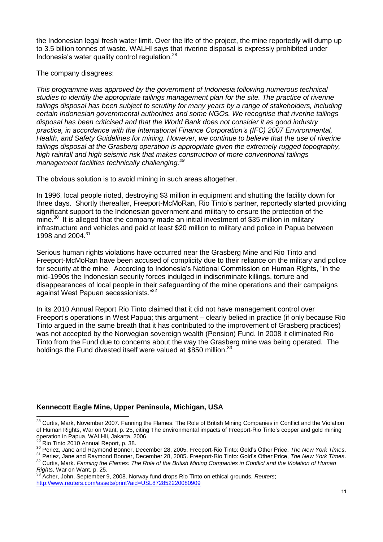the Indonesian legal fresh water limit. Over the life of the project, the mine reportedly will dump up to 3.5 billion tonnes of waste. WALHI says that riverine disposal is expressly prohibited under Indonesia's water quality control regulation.<sup>28</sup>

The company disagrees:

*This programme was approved by the government of Indonesia following numerous technical studies to identify the appropriate tailings management plan for the site. The practice of riverine tailings disposal has been subject to scrutiny for many years by a range of stakeholders, including certain Indonesian governmental authorities and some NGOs. We recognise that riverine tailings disposal has been criticised and that the World Bank does not consider it as good industry practice, in accordance with the International Finance Corporation's (IFC) 2007 Environmental, Health, and Safety Guidelines for mining. However, we continue to believe that the use of riverine tailings disposal at the Grasberg operation is appropriate given the extremely rugged topography, high rainfall and high seismic risk that makes construction of more conventional tailings management facilities technically challenging.<sup>29</sup>*

The obvious solution is to avoid mining in such areas altogether.

In 1996, local people rioted, destroying \$3 million in equipment and shutting the facility down for three days. Shortly thereafter, Freeport-McMoRan, Rio Tinto's partner, reportedly started providing significant support to the Indonesian government and military to ensure the protection of the mine.<sup>30</sup> It is alleged that the company made an initial investment of \$35 million in military infrastructure and vehicles and paid at least \$20 million to military and police in Papua between 1998 and 2004.<sup>31</sup>

Serious human rights violations have occurred near the Grasberg Mine and Rio Tinto and Freeport-McMoRan have been accused of complicity due to their reliance on the military and police for security at the mine. According to Indonesia's National Commission on Human Rights, "in the mid-1990s the Indonesian security forces indulged in indiscriminate killings, torture and disappearances of local people in their safeguarding of the mine operations and their campaigns against West Papuan secessionists."<sup>32</sup>

In its 2010 Annual Report Rio Tinto claimed that it did not have management control over Freeport's operations in West Papua; this argument – clearly belied in practice (if only because Rio Tinto argued in the same breath that it has contributed to the improvement of Grasberg practices) was not accepted by the Norwegian sovereign wealth (Pension) Fund. In 2008 it eliminated Rio Tinto from the Fund due to concerns about the way the Grasberg mine was being operated. The holdings the Fund divested itself were valued at \$850 million.<sup>33</sup>

#### **Kennecott Eagle Mine, Upper Peninsula, Michigan, USA**

 $\overline{\phantom{a}}$ <sup>28</sup> Curtis, Mark, November 2007. Fanning the Flames: The Role of British Mining Companies in Conflict and the Violation of Human Rights, War on Want, p. 25, citing The environmental impacts of Freeport-Rio Tinto's copper and gold mining operation in Papua, WALHIi, Jakarta, 2006.

<sup>29</sup> Rio Tinto 2010 Annual Report, p. 38.

<sup>30</sup> Perlez, Jane and Raymond Bonner, December 28, 2005. Freeport-Rio Tinto: Gold's Other Price, *The New York Times*.

<sup>31</sup> Perlez, Jane and Raymond Bonner, December 28, 2005. Freeport-Rio Tinto: Gold's Other Price, *The New York Times*. <sup>32</sup> Curtis, Mark. *Fanning the Flames: The Role of the British Mining Companies in Conflict and the Violation of Human Rights*, War on Want, p. 25.

<sup>33</sup> Acher, John, September 9, 2008. Norway fund drops Rio Tinto on ethical grounds, *Reuters*; <http://www.reuters.com/assets/print?aid=USL872852220080909>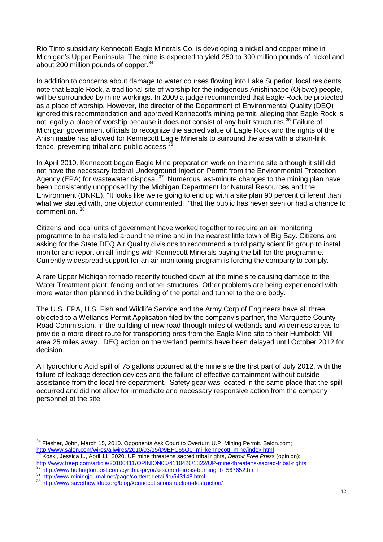Rio Tinto subsidiary Kennecott Eagle Minerals Co. is developing a nickel and copper mine in Michigan's Upper Peninsula. The mine is expected to yield 250 to 300 million pounds of nickel and about 200 million pounds of copper.<sup>34</sup>

In addition to concerns about damage to water courses flowing into Lake Superior, local residents note that Eagle Rock, a traditional site of worship for the indigenous Anishinaabe (Ojibwe) people, will be surrounded by mine workings. In 2009 a judge recommended that Eagle Rock be protected as a place of worship. However, the director of the Department of Environmental Quality (DEQ) ignored this recommendation and approved Kennecott's mining permit, alleging that Eagle Rock is not legally a place of worship because it does not consist of any built structures.<sup>35</sup> Failure of Michigan government officials to recognize the sacred value of Eagle Rock and the rights of the Anishinaabe has allowed for Kennecott Eagle Minerals to surround the area with a chain-link fence, preventing tribal and public access.<sup>3</sup>

In April 2010, Kennecott began Eagle Mine preparation work on the mine site although it still did not have the necessary federal Underground Injection Permit from the Environmental Protection Agency (EPA) for wastewater disposal.<sup>37</sup> Numerous last-minute changes to the mining plan have been consistently unopposed by the Michigan Department for Natural Resources and the Environment (DNRE). "It looks like we're going to end up with a site plan 90 percent different than what we started with, one objector commented, "that the public has never seen or had a chance to comment on."<sup>38</sup>

Citizens and local units of government have worked together to require an air monitoring programme to be installed around the mine and in the nearest little town of Big Bay. Citizens are asking for the State DEQ Air Quality divisions to recommend a third party scientific group to install, monitor and report on all findings with Kennecott Minerals paying the bill for the programme. Currently widespread support for an air monitoring program is forcing the company to comply.

A rare Upper Michigan tornado recently touched down at the mine site causing damage to the Water Treatment plant, fencing and other structures. Other problems are being experienced with more water than planned in the building of the portal and tunnel to the ore body.

The U.S. EPA, U.S. Fish and Wildlife Service and the Army Corp of Engineers have all three objected to a Wetlands Permit Application filed by the company's partner, the Marquette County Road Commission, in the building of new road through miles of wetlands and wilderness areas to provide a more direct route for transporting ores from the Eagle Mine site to their Humboldt Mill area 25 miles away. DEQ action on the wetland permits have been delayed until October 2012 for decision.

A Hydrochloric Acid spill of 75 gallons occurred at the mine site the first part of July 2012, with the failure of leakage detection devices and the failure of effective containment without outside assistance from the local fire department. Safety gear was located in the same place that the spill occurred and did not allow for immediate and necessary responsive action from the company personnel at the site.

<sup>&</sup>lt;sup>34</sup> Flesher, John, March 15, 2010. Opponents Ask Court to Overturn U.P. Mining Permit, Salon.com; [http://www.salon.com/wires/allwires/2010/03/15/D9EFC65O0\\_mi\\_kennecott\\_mine/index.html](http://www.salon.com/wires/allwires/2010/03/15/D9EFC65O0_mi_kennecott_mine/index.html)

<sup>35</sup> Koski, Jessica L., April 11, 2020. UP mine threatens sacred tribal rights, *Detroit Free Press* (opinion); http://www.freep.com/article/20100411/OPINION05/4110426/1322/UP-mine-threatens-sacred-tribal-rights <sup>36</sup> [http://www.huffingtonpost.com/cynthia-pryor/a-sacred-fire-is-burning\\_b\\_567652.html](http://www.huffingtonpost.com/cynthia-pryor/a-sacred-fire-is-burning_b_567652.html)

<sup>37</sup> <http://www.miningjournal.net/page/content.detail/id/543148.html>

<sup>38</sup> <http://www.savethewildup.org/blog/kennecottsconstruction-destruction/>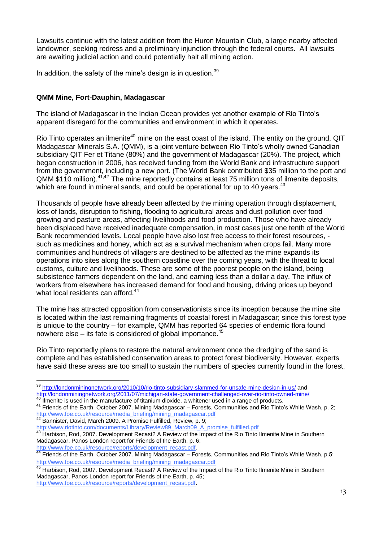Lawsuits continue with the latest addition from the Huron Mountain Club, a large nearby affected landowner, seeking redress and a preliminary injunction through the federal courts. All lawsuits are awaiting judicial action and could potentially halt all mining action.

In addition, the safety of the mine's design is in question.<sup>39</sup>

#### **QMM Mine, Fort-Dauphin, Madagascar**

The island of Madagascar in the Indian Ocean provides yet another example of Rio Tinto's apparent disregard for the communities and environment in which it operates.

Rio Tinto operates an ilmenite<sup>40</sup> mine on the east coast of the island. The entity on the ground, QIT Madagascar Minerals S.A. (QMM), is a joint venture between Rio Tinto's wholly owned Canadian subsidiary QIT Fer et Titane (80%) and the government of Madagascar (20%). The project, which began construction in 2006, has received funding from the World Bank and infrastructure support from the government, including a new port. (The World Bank contributed \$35 million to the port and QMM \$110 million).<sup>41,42</sup> The mine reportedly contains at least 75 million tons of ilmenite deposits, which are found in mineral sands, and could be operational for up to 40 years.<sup>43</sup>

Thousands of people have already been affected by the mining operation through displacement, loss of lands, disruption to fishing, flooding to agricultural areas and dust pollution over food growing and pasture areas, affecting livelihoods and food production. Those who have already been displaced have received inadequate compensation, in most cases just one tenth of the World Bank recommended levels. Local people have also lost free access to their forest resources, such as medicines and honey, which act as a survival mechanism when crops fail. Many more communities and hundreds of villagers are destined to be affected as the mine expands its operations into sites along the southern coastline over the coming years, with the threat to local customs, culture and livelihoods. These are some of the poorest people on the island, being subsistence farmers dependent on the land, and earning less than a dollar a day. The influx of workers from elsewhere has increased demand for food and housing, driving prices up beyond what local residents can afford.<sup>44</sup>

The mine has attracted opposition from conservationists since its inception because the mine site is located within the last remaining fragments of coastal forest in Madagascar; since this forest type is unique to the country – for example, QMM has reported 64 species of endemic flora found nowhere else – its fate is considered of global importance. $45$ 

Rio Tinto reportedly plans to restore the natural environment once the dredging of the sand is complete and has established conservation areas to protect forest biodiversity. However, experts have said these areas are too small to sustain the numbers of species currently found in the forest,

 $\overline{\phantom{a}}$ <sup>39</sup> <http://londonminingnetwork.org/2010/10/rio-tinto-subsidiary-slammed-for-unsafe-mine-design-in-us/> and <http://londonminingnetwork.org/2011/07/michigan-state-government-challenged-over-rio-tinto-owned-mine/>

 $40$  Ilmenite is used in the manufacture of titanium dioxide, a whitener used in a range of products.

<sup>41</sup> Friends of the Earth, October 2007. Mining Madagascar – Forests, Communities and Rio Tinto's White Wash, p. 2; [http://www.foe.co.uk/resource/media\\_briefing/mining\\_madagascar.pdf](http://www.foe.co.uk/resource/media_briefing/mining_madagascar.pdf) 42 Bannister, David, March 2009. A Promise Fulfilled, Review, p. 9;

[http://www.riotinto.com/documents/Library/Review89\\_March09\\_A\\_promise\\_fulfilled.pdf](http://www.riotinto.com/documents/Library/Review89_March09_A_promise_fulfilled.pdf)

<sup>&</sup>lt;sup>43</sup> Harbison, Rod, 2007. Development Recast? A Review of the Impact of the Rio Tinto Ilmenite Mine in Southern Madagascar, Panos London report for Friends of the Earth, p. 6; [http://www.foe.co.uk/resource/reports/development\\_recast.pdf](http://www.foe.co.uk/resource/reports/development_recast.pdf).

 $44$  Friends of the Earth, October 2007. Mining Madagascar – Forests, Communities and Rio Tinto's White Wash, p.5; [http://www.foe.co.uk/resource/media\\_briefing/mining\\_madagascar.pdf](http://www.foe.co.uk/resource/media_briefing/mining_madagascar.pdf)

<sup>&</sup>lt;sup>45</sup> Harbison, Rod, 2007. Development Recast? A Review of the Impact of the Rio Tinto Ilmenite Mine in Southern Madagascar, Panos London report for Friends of the Earth, p. 45; [http://www.foe.co.uk/resource/reports/development\\_recast.pdf.](http://www.foe.co.uk/resource/reports/development_recast.pdf)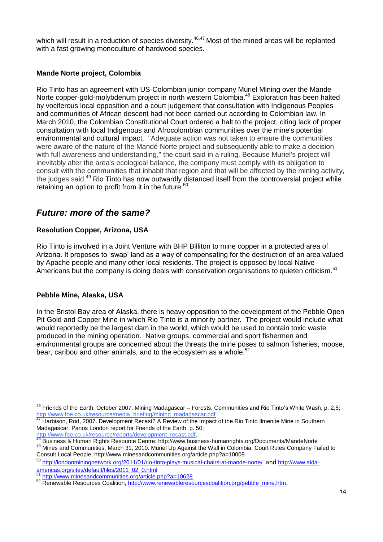which will result in a reduction of species diversity.<sup>46,47</sup> Most of the mined areas will be replanted with a fast growing monoculture of hardwood species.

#### **Mande Norte project, Colombia**

Rio Tinto has an agreement with US-Colombian junior company Muriel Mining over the Mande Norte copper-gold-molybdenum project in north western Colombia.<sup>48</sup> Exploration has been halted by vociferous local opposition and a court judgement that consultation with Indigenous Peoples and communities of African descent had not been carried out according to Colombian law. In March 2010, the Colombian Constitutional Court ordered a halt to the project, citing lack of proper consultation with local Indigenous and Afrocolombian communities over the mine's potential environmental and cultural impact. "Adequate action was not taken to ensure the communities were aware of the nature of the Mandé Norte project and subsequently able to make a decision with full awareness and understanding," the court said in a ruling. Because Muriel's project will inevitably alter the area's ecological balance, the company must comply with its obligation to consult with the communities that inhabit that region and that will be affected by the mining activity, the judges said.<sup>49</sup> Rio Tinto has now outwardly distanced itself from the controversial project while retaining an option to profit from it in the future.<sup>50</sup>

## *Future: more of the same?*

#### **Resolution Copper, Arizona, USA**

Rio Tinto is involved in a Joint Venture with BHP Billiton to mine copper in a protected area of Arizona. It proposes to 'swap' land as a way of compensating for the destruction of an area valued by Apache people and many other local residents. The project is opposed by local Native Americans but the company is doing deals with conservation organisations to quieten criticism.<sup>51</sup>

#### **Pebble Mine, Alaska, USA**

In the Bristol Bay area of Alaska, there is heavy opposition to the development of the Pebble Open Pit Gold and Copper Mine in which Rio Tinto is a minority partner. The project would include what would reportedly be the largest dam in the world, which would be used to contain toxic waste produced in the mining operation. Native groups, commercial and sport fishermen and environmental groups are concerned about the threats the mine poses to salmon fisheries, moose, bear, caribou and other animals, and to the ecosystem as a whole.<sup>52</sup>

[http://www.foe.co.uk/resource/reports/development\\_recast.pdf.](http://www.foe.co.uk/resource/reports/development_recast.pdf)

<sup>49</sup> Mines and Communities, March 31, 2010. Muriel Up Against the Wall in Colombia, Court Rules Company Failed to Consult Local People;<http://www.minesandcommunities.org/article.php?a=10008>

<sup>50</sup> <http://londonminingnetwork.org/2011/01/rio-tinto-plays-musical-chairs-at-mande-norte/> and [http://www.aida](http://www.aida-americas.org/sites/default/files/2011_02_0.html)[americas.org/sites/default/files/2011\\_02\\_0.html](http://www.aida-americas.org/sites/default/files/2011_02_0.html)

 $\overline{a}$  $^{46}$  Friends of the Earth, October 2007. Mining Madagascar – Forests, Communities and Rio Tinto's White Wash, p. 2,5; [http://www.foe.co.uk/resource/media\\_briefing/mining\\_madagascar.pdf](http://www.foe.co.uk/resource/media_briefing/mining_madagascar.pdf)

<sup>47</sup> Harbison, Rod, 2007. Development Recast? A Review of the Impact of the Rio Tinto Ilmenite Mine in Southern Madagascar, Panos London report for Friends of the Earth, p. 50;

<sup>48</sup> Business & Human Rights Resource Centre:<http://www.business-humanrights.org/Documents/MandeNorte>

<sup>51</sup> <http://www.minesandcommunities.org/article.php?a=10628>

<sup>52</sup> Renewable Resources Coalition, [http://www.renewableresourcescoalition.org/pebble\\_mine.htm.](http://www.renewableresourcescoalition.org/pebble_mine.htm)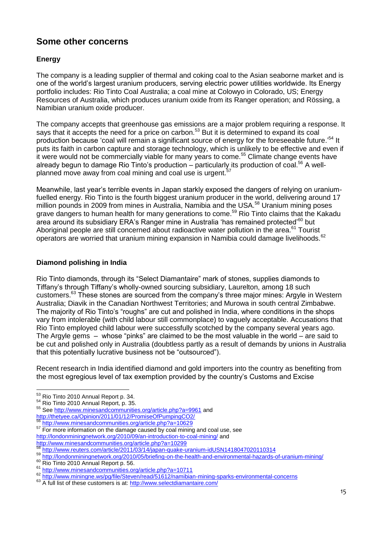# **Some other concerns**

## **Energy**

The company is a leading supplier of thermal and coking coal to the Asian seaborne market and is one of the world's largest uranium producers, serving electric power utilities worldwide. Its Energy portfolio includes: Rio Tinto Coal Australia; a coal mine at Colowyo in Colorado, US; Energy Resources of Australia, which produces uranium oxide from its Ranger operation; and Rössing, a Namibian uranium oxide producer.

The company accepts that greenhouse gas emissions are a major problem requiring a response. It says that it accepts the need for a price on carbon.<sup>53</sup> But it is determined to expand its coal production because 'coal will remain a significant source of energy for the foreseeable future.<sup>54</sup> It puts its faith in carbon capture and storage technology, which is unlikely to be effective and even if it were would not be commercially viable for many years to come.<sup>55</sup> Climate change events have already begun to damage Rio Tinto's production – particularly its production of coal.<sup>56</sup> A wellplanned move away from coal mining and coal use is urgent.<sup>57</sup>

Meanwhile, last year's terrible events in Japan starkly exposed the dangers of relying on uraniumfuelled energy. Rio Tinto is the fourth biggest uranium producer in the world, delivering around 17 million pounds in 2009 from mines in Australia, Namibia and the USA.<sup>58</sup> Uranium mining poses grave dangers to human health for many generations to come.<sup>59</sup> Rio Tinto claims that the Kakadu area around its subsidiary ERA's Ranger mine in Australia 'has remained protected'<sup>60</sup> but Aboriginal people are still concerned about radioactive water pollution in the area.<sup>61</sup> Tourist operators are worried that uranium mining expansion in Namibia could damage livelihoods.<sup>62</sup>

## **Diamond polishing in India**

Rio Tinto diamonds, through its "Select Diamantaire" mark of stones, supplies diamonds to Tiffany's through Tiffany's wholly-owned sourcing subsidiary, Laurelton, among 18 such customers.<sup>63</sup> These stones are sourced from the company's three major mines: Argyle in Western Australia; Diavik in the Canadian Northwest Territories; and Murowa in south central Zimbabwe. The majority of Rio Tinto's "roughs" are cut and polished in India, where conditions in the shops vary from intolerable (with child labour still commonplace) to vaguely acceptable. Accusations that Rio Tinto employed child labour were successfully scotched by the company several years ago. The Argyle gems – whose "pinks" are claimed to be the most valuable in the world – are said to be cut and polished only in Australia (doubtless partly as a result of demands by unions in Australia that this potentially lucrative business not be "outsourced").

Recent research in India identified diamond and gold importers into the country as benefiting from the most egregious level of tax exemption provided by the country's Customs and Excise

<sup>56</sup> <http://www.minesandcommunities.org/article.php?a=10629>

 $\overline{\phantom{a}}$ <sup>53</sup> Rio Tinto 2010 Annual Report p. 34.

<sup>54</sup> Rio Tinto 2010 Annual Report, p. 35.

<sup>55</sup> See<http://www.minesandcommunities.org/article.php?a=9961> and

<http://thetyee.ca/Opinion/2011/01/12/PromiseOfPumpingCO2/>

<sup>57</sup> For more information on the damage caused by coal mining and coal use, see <http://londonminingnetwork.org/2010/09/an-introduction-to-coal-mining/> and <http://www.minesandcommunities.org/article.php?a=10299>

<sup>58</sup> <http://www.reuters.com/article/2011/03/14/japan-quake-uranium-idUSN1418047020110314>

<sup>59</sup> <http://londonminingnetwork.org/2010/05/briefing-on-the-health-and-environmental-hazards-of-uranium-mining/>

<sup>60</sup> Rio Tinto 2010 Annual Report p. 56.

<sup>&</sup>lt;sup>61</sup> <http://www.minesandcommunities.org/article.php?a=10711>

<sup>62</sup> <http://www.miningne.ws/pg/file/Steven/read/51612/namibian-mining-sparks-environmental-concerns>

<sup>63</sup> A full list of these customers is at:<http://www.selectdiamantaire.com/>